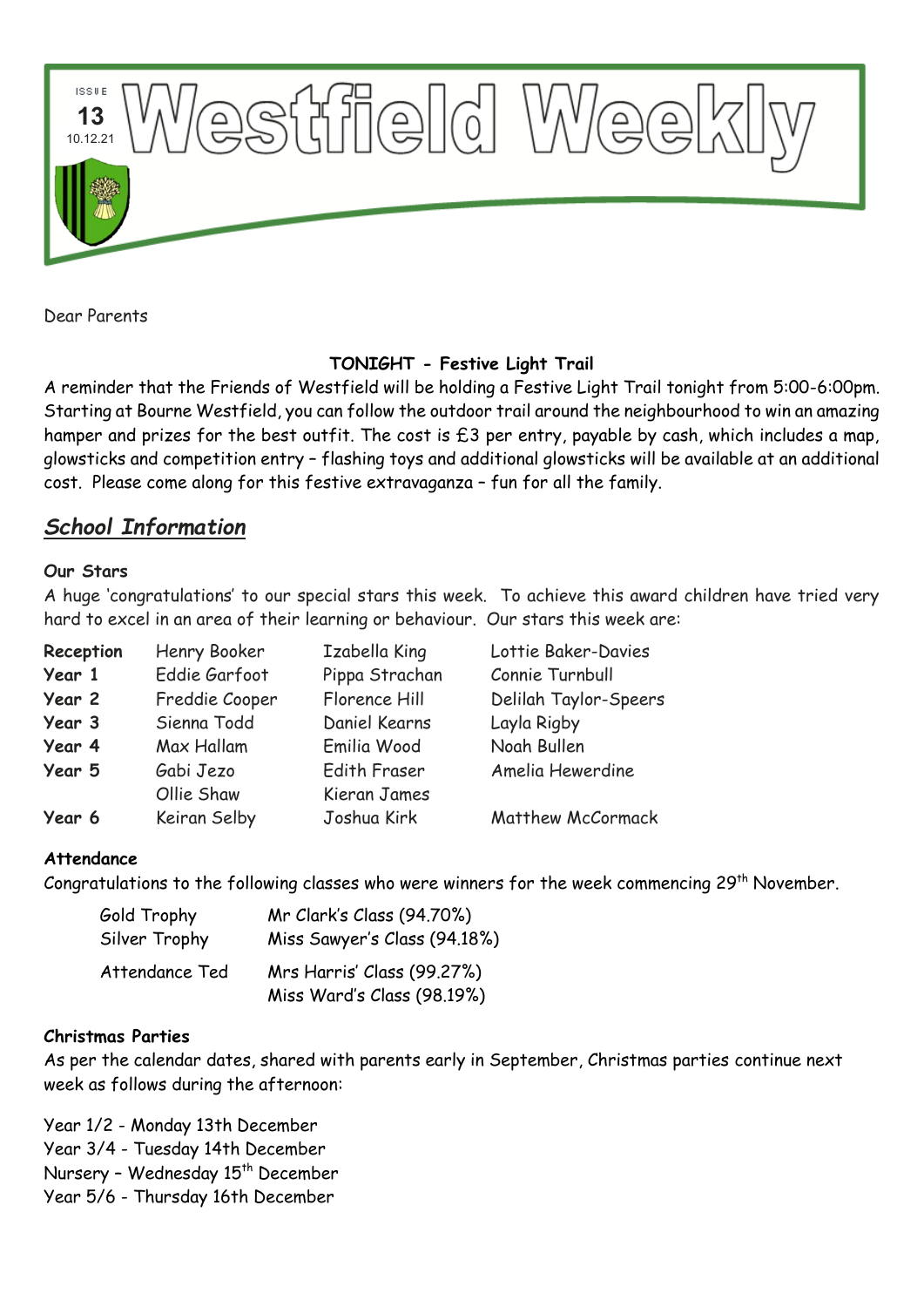

Dear Parents

# **TONIGHT - Festive Light Trail**

A reminder that the Friends of Westfield will be holding a Festive Light Trail tonight from 5:00-6:00pm. Starting at Bourne Westfield, you can follow the outdoor trail around the neighbourhood to win an amazing hamper and prizes for the best outfit. The cost is £3 per entry, payable by cash, which includes a map, glowsticks and competition entry – flashing toys and additional glowsticks will be available at an additional cost. Please come along for this festive extravaganza – fun for all the family.

# *School Information*

### **Our Stars**

A huge 'congratulations' to our special stars this week. To achieve this award children have tried very hard to excel in an area of their learning or behaviour. Our stars this week are:

| Reception | Henry Booker   | Izabella King       | Lottie Baker-Davies      |
|-----------|----------------|---------------------|--------------------------|
| Year 1    | Eddie Garfoot  | Pippa Strachan      | Connie Turnbull          |
| Year 2    | Freddie Cooper | Florence Hill       | Delilah Taylor-Speers    |
| Year 3    | Sienna Todd    | Daniel Kearns       | Layla Rigby              |
| Year 4    | Max Hallam     | Emilia Wood         | Noah Bullen              |
| Year 5    | Gabi Jezo      | <b>Edith Fraser</b> | Amelia Hewerdine         |
|           | Ollie Shaw     | Kieran James        |                          |
| Year 6    | Keiran Selby   | Joshua Kirk         | <b>Matthew McCormack</b> |

### **Attendance**

Congratulations to the following classes who were winners for the week commencing 29<sup>th</sup> November.

| Gold Trophy    | Mr Clark's Class (94.70%)    |  |
|----------------|------------------------------|--|
| Silver Trophy  | Miss Sawyer's Class (94.18%) |  |
| Attendance Ted | Mrs Harris' Class (99.27%)   |  |
|                | Miss Ward's Class (98.19%)   |  |

### **Christmas Parties**

As per the calendar dates, shared with parents early in September, Christmas parties continue next week as follows during the afternoon:

Year 1/2 - [Monday 13th December](x-apple-data-detectors://3/) Year 3/4 - [Tuesday 14th December](x-apple-data-detectors://4/) Nursery - Wednesday 15<sup>th</sup> December Year 5/6 - [Thursday 16th December](x-apple-data-detectors://5/)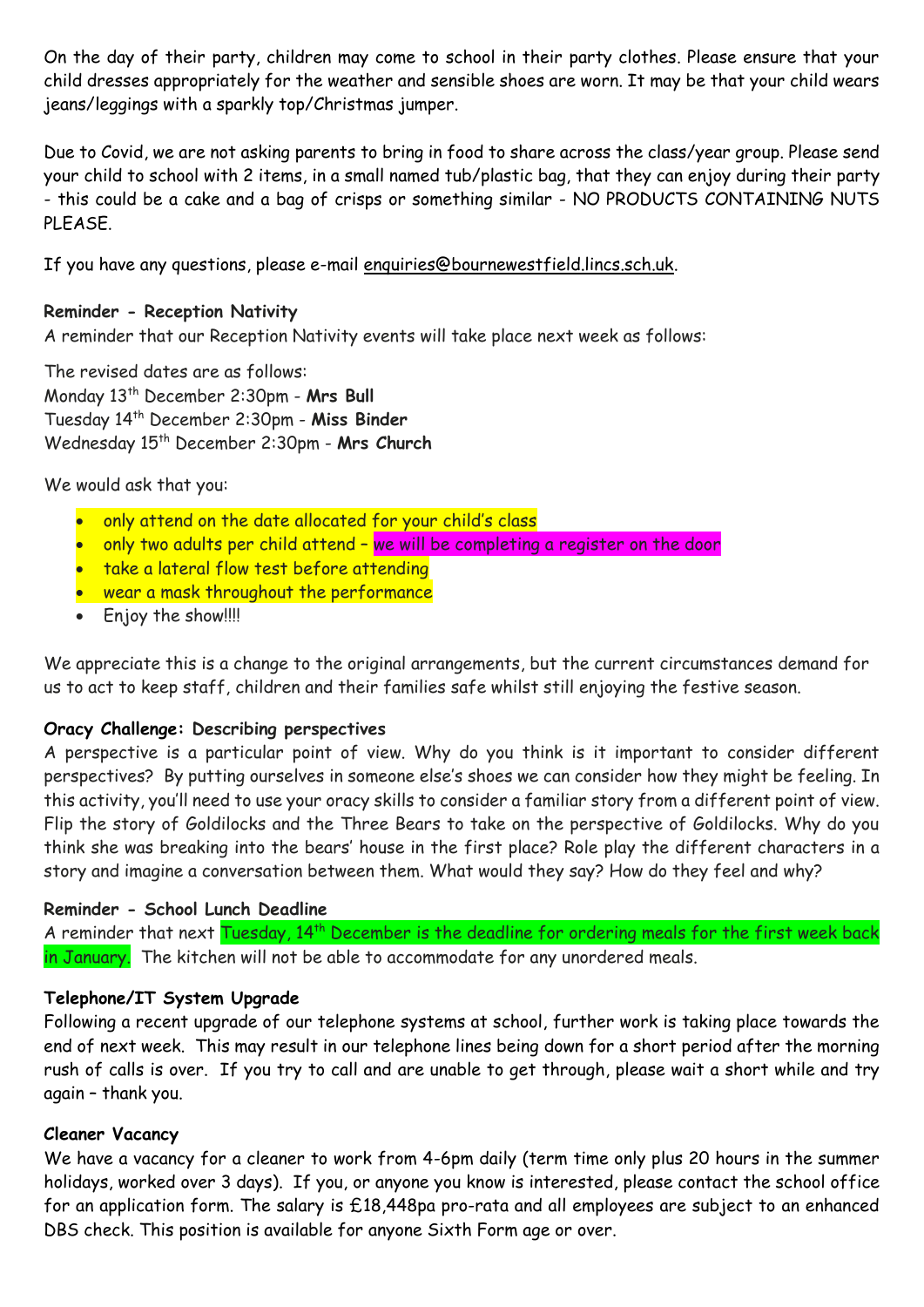On the day of their party, children may come to school in their party clothes. Please ensure that your child dresses appropriately for the weather and sensible shoes are worn. It may be that your child wears jeans/leggings with a sparkly top/Christmas jumper.

Due to Covid, we are not asking parents to bring in food to share across the class/year group. Please send your child to school with 2 items, in a small named tub/plastic bag, that they can enjoy during their party - this could be a cake and a bag of crisps or something similar - NO PRODUCTS CONTAINING NUTS PLEASE.

If you have any questions, please e-mail [enquiries@bournewestfield.lincs.sch.uk.](mailto:enquiries@bournewestfield.lincs.sch.uk)

## **Reminder - Reception Nativity**

A reminder that our Reception Nativity events will take place next week as follows:

The revised dates are as follows: Monday 13th December 2:30pm - **Mrs Bull** Tuesday 14th December 2:30pm - **Miss Binder** Wednesday 15th December 2:30pm - **Mrs Church**

We would ask that you:

- only attend on the date allocated for your child's class
- only two adults per child attend we will be completing a register on the door
- take a lateral flow test before attending
- wear a mask throughout the performance
- Enjoy the show!!!!

We appreciate this is a change to the original arrangements, but the current circumstances demand for us to act to keep staff, children and their families safe whilst still enjoying the festive season.

### **Oracy Challenge: Describing perspectives**

A perspective is a particular point of view. Why do you think is it important to consider different perspectives? By putting ourselves in someone else's shoes we can consider how they might be feeling. In this activity, you'll need to use your oracy skills to consider a familiar story from a different point of view. Flip the story of Goldilocks and the Three Bears to take on the perspective of Goldilocks. Why do you think she was breaking into the bears' house in the first place? Role play the different characters in a story and imagine a conversation between them. What would they say? How do they feel and why?

### **Reminder - School Lunch Deadline**

A reminder that next Tuesday, 14<sup>th</sup> December is the deadline for ordering meals for the first week back in January. The kitchen will not be able to accommodate for any unordered meals.

### **Telephone/IT System Upgrade**

Following a recent upgrade of our telephone systems at school, further work is taking place towards the end of next week. This may result in our telephone lines being down for a short period after the morning rush of calls is over. If you try to call and are unable to get through, please wait a short while and try again – thank you.

## **Cleaner Vacancy**

We have a vacancy for a cleaner to work from 4-6pm daily (term time only plus 20 hours in the summer holidays, worked over 3 days). If you, or anyone you know is interested, please contact the school office for an application form. The salary is £18,448pa pro-rata and all employees are subject to an enhanced DBS check. This position is available for anyone Sixth Form age or over.